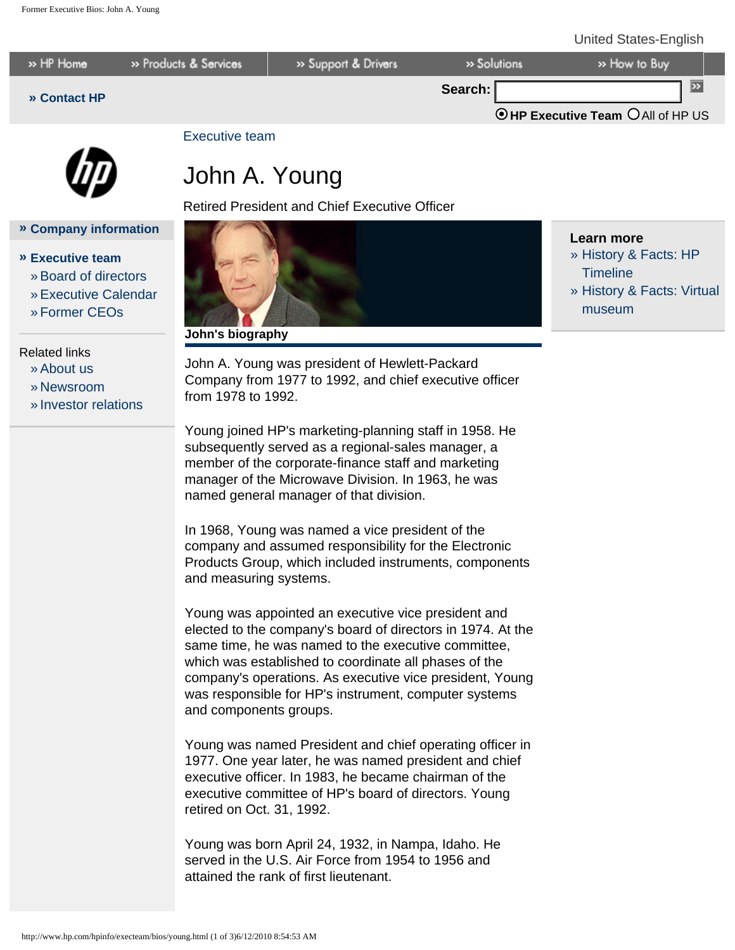#### United States-English





**» [Company information](http://www.hp.com/hpinfo/)**

»[Board of directors](http://h30261.www3.hp.com/phoenix.zhtml?c=71087&p=irol-govboard) »[Executive Calendar](http://www.hp.com/hpinfo/execteam/calendar.html)

» [Investor relations](http://h30261.www3.hp.com/phoenix.zhtml?c=71087&p=irol-irhome)

**» [Executive team](http://www.hp.com/hpinfo/execteam/)**

» [Former CEOs](http://www.hp.com/hpinfo/execteam/formerceos.html)

Related links »[About us](http://www.hp.com/hpinfo/abouthp/) » [Newsroom](http://www.hp.com/hpinfo/newsroom/)

### [Executive team](http://www.hp.com/hpinfo/execteam/)

# John A. Young

Retired President and Chief Executive Officer



### **Learn more**

- » [History & Facts: HP](http://www.hp.com/hpinfo/abouthp/histnfacts/timeline/index.html) **Timeline**
- » [History & Facts: Virtual](http://www.hp.com/hpinfo/abouthp/histnfacts/museum/index.html) [museum](http://www.hp.com/hpinfo/abouthp/histnfacts/museum/index.html)

**John's biography**

John A. Young was president of Hewlett-Packard Company from 1977 to 1992, and chief executive officer from 1978 to 1992.

Young joined HP's marketing-planning staff in 1958. He subsequently served as a regional-sales manager, a member of the corporate-finance staff and marketing manager of the Microwave Division. In 1963, he was named general manager of that division.

In 1968, Young was named a vice president of the company and assumed responsibility for the Electronic Products Group, which included instruments, components and measuring systems.

Young was appointed an executive vice president and elected to the company's board of directors in 1974. At the same time, he was named to the executive committee, which was established to coordinate all phases of the company's operations. As executive vice president, Young was responsible for HP's instrument, computer systems and components groups.

Young was named President and chief operating officer in 1977. One year later, he was named president and chief executive officer. In 1983, he became chairman of the executive committee of HP's board of directors. Young retired on Oct. 31, 1992.

Young was born April 24, 1932, in Nampa, Idaho. He served in the U.S. Air Force from 1954 to 1956 and attained the rank of first lieutenant.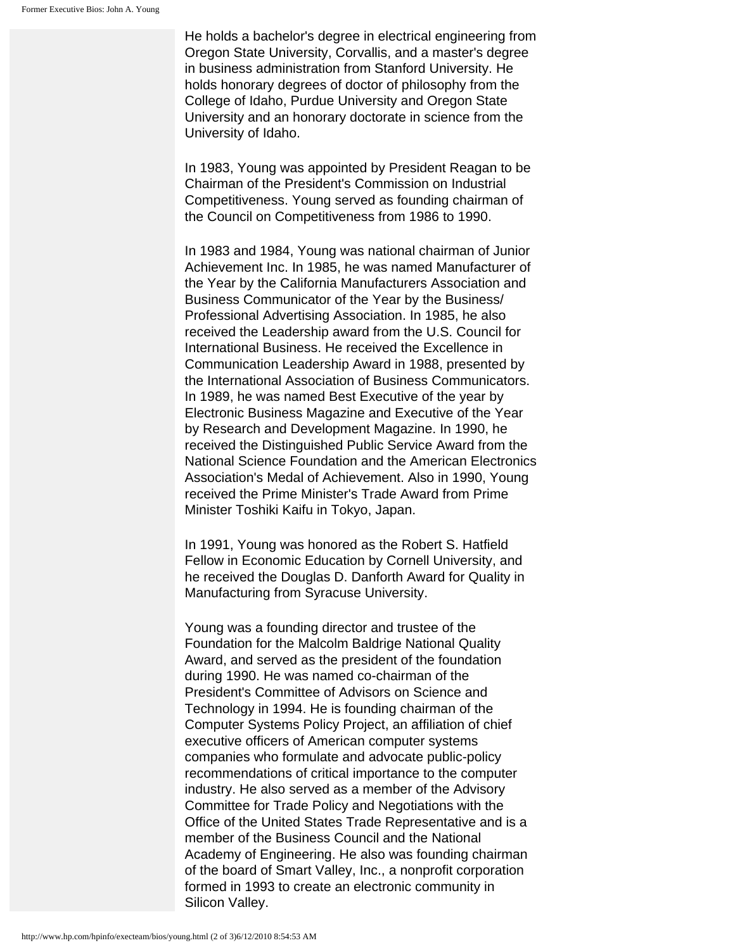He holds a bachelor's degree in electrical engineering from Oregon State University, Corvallis, and a master's degree in business administration from Stanford University. He holds honorary degrees of doctor of philosophy from the College of Idaho, Purdue University and Oregon State University and an honorary doctorate in science from the University of Idaho.

In 1983, Young was appointed by President Reagan to be Chairman of the President's Commission on Industrial Competitiveness. Young served as founding chairman of the Council on Competitiveness from 1986 to 1990.

In 1983 and 1984, Young was national chairman of Junior Achievement Inc. In 1985, he was named Manufacturer of the Year by the California Manufacturers Association and Business Communicator of the Year by the Business/ Professional Advertising Association. In 1985, he also received the Leadership award from the U.S. Council for International Business. He received the Excellence in Communication Leadership Award in 1988, presented by the International Association of Business Communicators. In 1989, he was named Best Executive of the year by Electronic Business Magazine and Executive of the Year by Research and Development Magazine. In 1990, he received the Distinguished Public Service Award from the National Science Foundation and the American Electronics Association's Medal of Achievement. Also in 1990, Young received the Prime Minister's Trade Award from Prime Minister Toshiki Kaifu in Tokyo, Japan.

In 1991, Young was honored as the Robert S. Hatfield Fellow in Economic Education by Cornell University, and he received the Douglas D. Danforth Award for Quality in Manufacturing from Syracuse University.

Young was a founding director and trustee of the Foundation for the Malcolm Baldrige National Quality Award, and served as the president of the foundation during 1990. He was named co-chairman of the President's Committee of Advisors on Science and Technology in 1994. He is founding chairman of the Computer Systems Policy Project, an affiliation of chief executive officers of American computer systems companies who formulate and advocate public-policy recommendations of critical importance to the computer industry. He also served as a member of the Advisory Committee for Trade Policy and Negotiations with the Office of the United States Trade Representative and is a member of the Business Council and the National Academy of Engineering. He also was founding chairman of the board of Smart Valley, Inc., a nonprofit corporation formed in 1993 to create an electronic community in Silicon Valley.